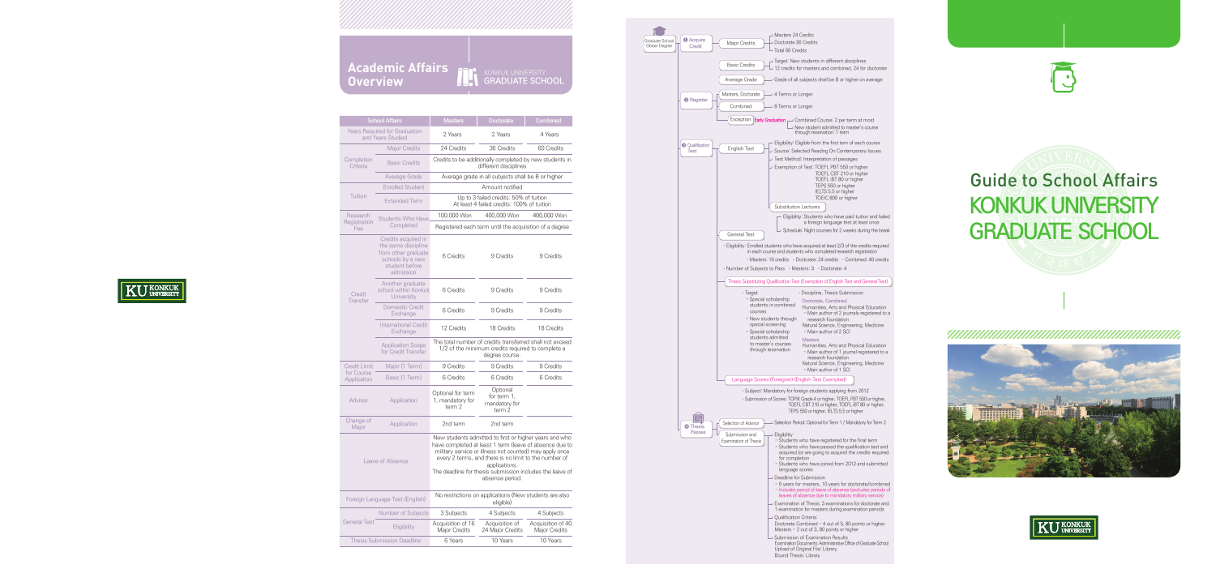Completion **Criteria** 

Credit Limit for Course Application

Foreign Languag

General Test



| Major Credits                                                                        | • Masters 24 Credits<br>Doctorate 36 Credits              |                                                                                                                                                                          |  |
|--------------------------------------------------------------------------------------|-----------------------------------------------------------|--------------------------------------------------------------------------------------------------------------------------------------------------------------------------|--|
|                                                                                      | $\overline{\phantom{a}}$ Total 60 Credits                 |                                                                                                                                                                          |  |
| <b>Basic Credits</b>                                                                 |                                                           | Target: New students in different disciplines<br>$\rightarrow$ 12 credits for masters and combined, 24 for doctorate                                                     |  |
|                                                                                      |                                                           |                                                                                                                                                                          |  |
| Average Grade                                                                        |                                                           | Grade of all subjects shall be B or higher on average                                                                                                                    |  |
| Masters, Doctorate                                                                   | 4 Terms or Longer                                         |                                                                                                                                                                          |  |
| Combined                                                                             | • 8 Terms or Longer                                       |                                                                                                                                                                          |  |
| Exception                                                                            | Early Graduation                                          | → Combined Course: 2 per term at most                                                                                                                                    |  |
|                                                                                      |                                                           | New student admitted to master's course<br>through reservation: 1 term                                                                                                   |  |
| English Test                                                                         |                                                           | · Eligibility: Eligible from the first tem of each course                                                                                                                |  |
|                                                                                      |                                                           | Source: Selected Reading On Contemporary Issues                                                                                                                          |  |
|                                                                                      |                                                           | - Test Method: Interpretation of passages<br>Exemption of Test: TOEFL PBT 550 or higher                                                                                  |  |
|                                                                                      |                                                           | TOEFL CBT 210 or higher                                                                                                                                                  |  |
|                                                                                      |                                                           | TOEFL iBT 80 or higher                                                                                                                                                   |  |
|                                                                                      |                                                           | TEPS 550 or higher<br>IELTS 5.5 or higher                                                                                                                                |  |
|                                                                                      |                                                           | TOEIC 800 or higher                                                                                                                                                      |  |
|                                                                                      | Substitution Lectures                                     |                                                                                                                                                                          |  |
|                                                                                      |                                                           | Eligibility: Students who have paid tuition and failed<br>a foreign language test at least once                                                                          |  |
| <b>General Test</b>                                                                  |                                                           | - Schedule: Night courses for 2 weeks during the break                                                                                                                   |  |
|                                                                                      |                                                           | · Eligibility: Enrolled students who have acquired at least 2/3 of the credits required                                                                                  |  |
|                                                                                      |                                                           | in each course and students who completed research registration                                                                                                          |  |
|                                                                                      |                                                           | • Masters: 16 credits • Doctorate: 24 credits • Combined: 40 credits                                                                                                     |  |
| • Number of Subjects to Pass • Masters: 3 • Doctorate: 4                             |                                                           |                                                                                                                                                                          |  |
|                                                                                      |                                                           | Thesis Substituting Qualification Test (Exemption of English Test and General Test)                                                                                      |  |
| • Target                                                                             |                                                           | · Discipline, Thesis Submission                                                                                                                                          |  |
| - Special scholarship                                                                |                                                           | Doctorate, Combined                                                                                                                                                      |  |
| courses                                                                              | students in combined                                      | Humanities, Arts and Physical Education                                                                                                                                  |  |
|                                                                                      | - New students through                                    | - Main author of 2 journals registered to a<br>research foundation                                                                                                       |  |
| special screening                                                                    |                                                           | Natural Science, Engineering, Medicine                                                                                                                                   |  |
| - Special scholarship                                                                | students admitted                                         | - Main author of 2 SCI                                                                                                                                                   |  |
|                                                                                      | <b>Masters</b><br>to master's courses                     | Humanities, Arts and Physical Education                                                                                                                                  |  |
|                                                                                      | through reservation                                       | - Main author of 1 journal registered to a                                                                                                                               |  |
|                                                                                      |                                                           | research foundation<br>Natural Science, Engineering, Medicine                                                                                                            |  |
|                                                                                      |                                                           | - Main author of 1 SCI                                                                                                                                                   |  |
|                                                                                      | Language Scores (Foreigner) (English Test Exempted)       |                                                                                                                                                                          |  |
|                                                                                      |                                                           | · Subject: Mandatory for foreign students applying from 2012                                                                                                             |  |
|                                                                                      |                                                           | • Submission of Scores: TOPIK Grade 4 or higher, TOEFL PBT 550 or higher,<br>TOEFL CBT 210 or higher, TOEFL iBT 80 or higher,<br>TEPS 550 or higher, IELTS 5.5 or higher |  |
| Selection of Advisor<br>Selection Period: Optional for Term 1 / Mandatory for Term 2 |                                                           |                                                                                                                                                                          |  |
| Submission and<br>Examination of Thesis                                              | Eligibility                                               | - Students who have registered for the final term                                                                                                                        |  |
|                                                                                      |                                                           | - Students who have passed the qualification test and                                                                                                                    |  |
|                                                                                      | for completion                                            | acquired (or are going to acquire) the credits required                                                                                                                  |  |
|                                                                                      |                                                           | - Students who have joined from 2012 and submitted                                                                                                                       |  |
|                                                                                      | language scores                                           |                                                                                                                                                                          |  |
|                                                                                      | <b>Deadline for Submission</b>                            | - 6 years for masters, 10 years for doctorate/combined                                                                                                                   |  |
|                                                                                      |                                                           | - Includes period of leave of absence (excludes periods of                                                                                                               |  |
|                                                                                      |                                                           | leaves of absence due to mandatory military service)<br>Examination of Thesis: 3 examinations for doctorate and                                                          |  |
|                                                                                      |                                                           | 1 examination for masters during examination periods                                                                                                                     |  |
|                                                                                      | Qualification Criteria:                                   |                                                                                                                                                                          |  |
|                                                                                      |                                                           | Doctorate Combined - 4 out of 5, 80 points or higher<br>Masters - 2 out of 3, 80 points or higher                                                                        |  |
| - Submission of Examination Results                                                  |                                                           |                                                                                                                                                                          |  |
|                                                                                      | Upload of Original File: Library<br>Bound Thesis: Library | Examination Documents: Administrative Office of Graduate School                                                                                                          |  |



|                            | <b>Academic Affairs</b>                                   |                                                 | KONKUK UNIVERSITY<br>GRADUATE SCHOOL                                                                               |                                    |
|----------------------------|-----------------------------------------------------------|-------------------------------------------------|--------------------------------------------------------------------------------------------------------------------|------------------------------------|
|                            | <b>Overview</b>                                           |                                                 |                                                                                                                    |                                    |
|                            |                                                           |                                                 |                                                                                                                    |                                    |
|                            |                                                           |                                                 |                                                                                                                    |                                    |
|                            | <b>School Affairs</b>                                     | <b>Masters</b>                                  | Doctorate                                                                                                          | Combined                           |
|                            | <b>Years Required for Graduation</b><br>and Years Studied | 2 Years                                         | 2 Years                                                                                                            | 4 Years                            |
|                            | <b>Major Credits</b>                                      | 24 Credits                                      | 36 Credits                                                                                                         | 60 Credits                         |
| Completion<br>Criteria     | <b>Basic Credits</b>                                      |                                                 | Credits to be additionally completed by new students in<br>different disciplines                                   |                                    |
|                            | Average Grade                                             |                                                 | Average grade in all subjects shall be B or higher                                                                 |                                    |
|                            | <b>Enrolled Student</b>                                   |                                                 | Amount notified                                                                                                    |                                    |
| Tuition                    | <b>Extended Term</b>                                      |                                                 | Up to 3 failed credits: 50% of tuition<br>At least 4 failed credits: 100% of tuition                               |                                    |
| Research                   | <b>Students Who Have</b>                                  | 100,000 Won                                     | 400,000 Won                                                                                                        | 400,000 Won                        |
| <b>Registration</b><br>Fee | Completed                                                 |                                                 | Registered each term until the acquisition of a degree                                                             |                                    |
|                            | Credits acquired in<br>the same discipline                |                                                 |                                                                                                                    |                                    |
|                            | from other graduate<br>schools by a new                   | 6 Credits                                       | 9 Credits                                                                                                          | 9 Credits                          |
|                            | student before<br>admission                               |                                                 |                                                                                                                    |                                    |
|                            | Another graduate                                          |                                                 |                                                                                                                    |                                    |
| Credit<br>Transfer         | school within Konkuk<br>University                        | 6 Credits                                       | 9 Credits                                                                                                          | 9 Credits                          |
|                            | Domestic Credit<br>Exchange                               | 6 Credits                                       | 9 Credits                                                                                                          | 9 Credits                          |
|                            | <b>International Credit</b><br>Exchange                   | 12 Credits                                      | 18 Credits                                                                                                         | 18 Credits                         |
| <b>Application Scope</b>   |                                                           |                                                 | The total number of credits transferred shall not exceed                                                           |                                    |
|                            | for Credit Transfer                                       |                                                 | 1/2 of the minimum credits required to complete a<br>degree course.                                                |                                    |
| Credit Limit               | Major (1 Term)                                            | 9 Credits                                       | 9 Credits                                                                                                          | 9 Credits                          |
| for Course<br>Application  | Basic (1 Term)                                            | 6 Credits                                       | 6 Credits                                                                                                          | 6 Credits                          |
| Advisor                    | Application                                               | Optional for term<br>1, mandatory for<br>term 2 | Optional<br>for term 1,<br>mandatory for<br>term 2                                                                 |                                    |
| Change of<br>Major         | Application                                               | 2nd term                                        | 2nd term                                                                                                           |                                    |
|                            |                                                           |                                                 | New students admitted to first or higher years and who                                                             |                                    |
|                            |                                                           |                                                 | have completed at least 1 term (leave of absence due to<br>military service or illness not counted) may apply once |                                    |
|                            | Leave of Absence                                          |                                                 | every 2 terms, and there is no limit to the number of<br>applications.                                             |                                    |
|                            |                                                           |                                                 | The deadline for thesis submission includes the leave of<br>absence period.                                        |                                    |
|                            |                                                           |                                                 |                                                                                                                    |                                    |
|                            | Foreign Language Test (English)                           |                                                 | No restrictions on applications (New students are also<br>eligible)                                                |                                    |
|                            | Number of Subjects                                        | 3 Subjects                                      | 4 Subjects                                                                                                         | 4 Subjects                         |
| ieneral Test               | <b>Eligibility</b>                                        | Acquisition of 16<br>Major Credits              | Acquisition of<br>24 Major Credits                                                                                 | Acquisition of 40<br>Major Credits |
|                            | <b>Thesis Submission Deadline</b>                         | 6 Years                                         | 10 Years                                                                                                           | 10 Years                           |

# **KONKUK UNIVERSITY GRADUATE SCHOOL**  Guide to School Affairs